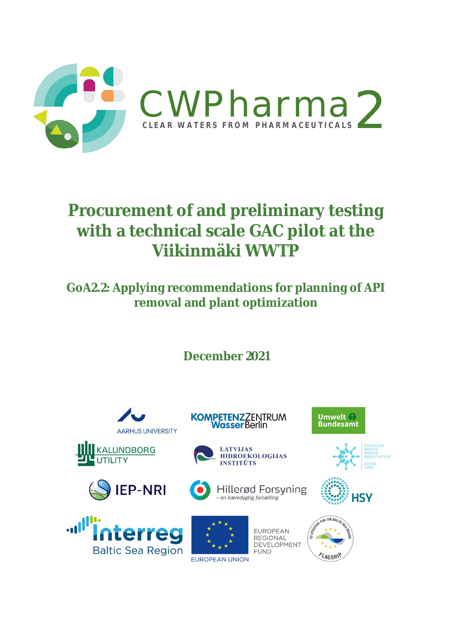

### **Procurement of and preliminary testing with a technical scale GAC pilot at the Viikinmäki WWTP**

**GoA2.2: Applying recommendations for planning of API removal and plant optimization**

**December 2021**

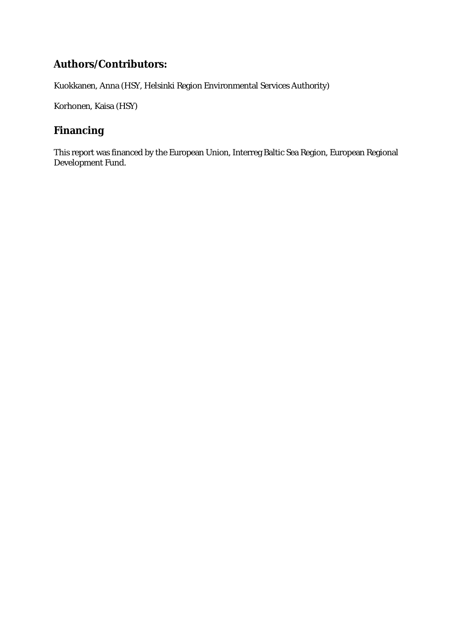#### **Authors/Contributors:**

Kuokkanen, Anna (HSY, Helsinki Region Environmental Services Authority)

Korhonen, Kaisa (HSY)

#### **Financing**

This report was financed by the European Union, Interreg Baltic Sea Region, European Regional Development Fund.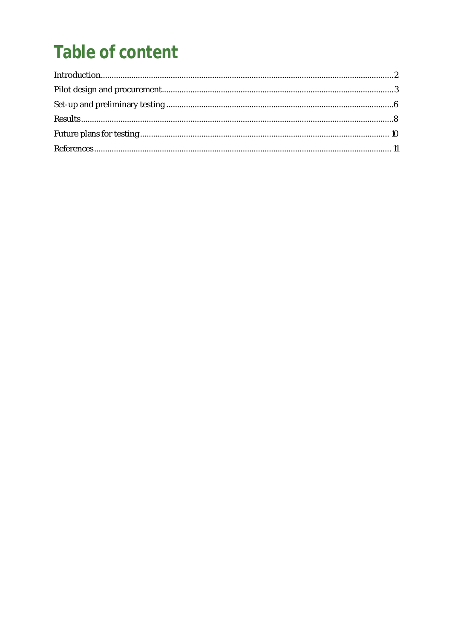# Table of content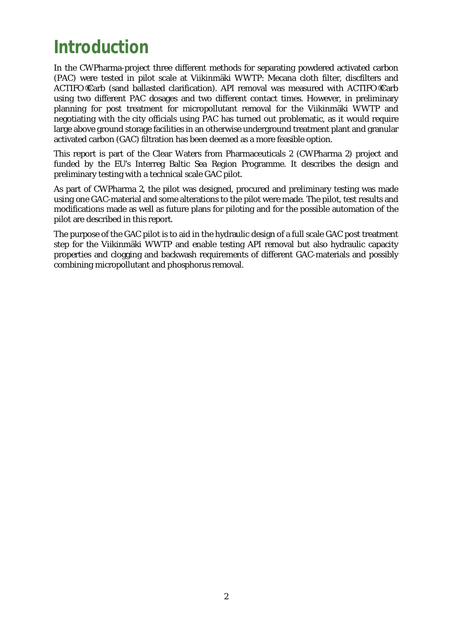### **Introduction**

In the CWPharma-project three different methods for separating powdered activated carbon (PAC) were tested in pilot scale at Viikinmäki WWTP: Mecana cloth filter, discfilters and ACTIFO®Carb (sand ballasted clarification). API removal was measured with ACTIFO®Carb using two different PAC dosages and two different contact times. However, in preliminary planning for post treatment for micropollutant removal for the Viikinmäki WWTP and negotiating with the city officials using PAC has turned out problematic, as it would require large above ground storage facilities in an otherwise underground treatment plant and granular activated carbon (GAC) filtration has been deemed as a more feasible option.

This report is part of the Clear Waters from Pharmaceuticals 2 (CWPharma 2) project and funded by the EU's Interreg Baltic Sea Region Programme. It describes the design and preliminary testing with a technical scale GAC pilot.

As part of CWPharma 2, the pilot was designed, procured and preliminary testing was made using one GAC-material and some alterations to the pilot were made. The pilot, test results and modifications made as well as future plans for piloting and for the possible automation of the pilot are described in this report.

The purpose of the GAC pilot is to aid in the hydraulic design of a full scale GAC post treatment step for the Viikinmäki WWTP and enable testing API removal but also hydraulic capacity properties and clogging and backwash requirements of different GAC-materials and possibly combining micropollutant and phosphorus removal.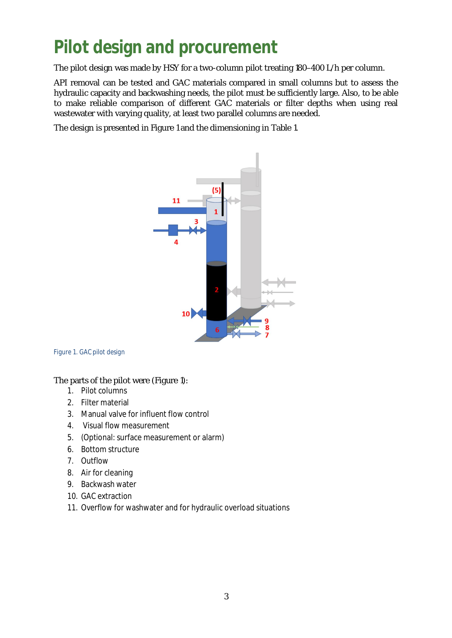# **Pilot design and procurement**

The pilot design was made by HSY for a two-column pilot treating 180–400 L/h per column.

API removal can be tested and GAC materials compared in small columns but to assess the hydraulic capacity and backwashing needs, the pilot must be sufficiently large. Also, to be able to make reliable comparison of different GAC materials or filter depths when using real wastewater with varying quality, at least two parallel columns are needed.

The design is presented in Figure 1 and the dimensioning in Table 1.



#### *Figure 1. GAC pilot design*

The parts of the pilot were (Figure 1):

- 1. Pilot columns
- 2. Filter material
- 3. Manual valve for influent flow control
- 4. Visual flow measurement
- 5. (Optional: surface measurement or alarm)
- 6. Bottom structure
- 7. Outflow
- 8. Air for cleaning
- 9. Backwash water
- 10. GAC extraction
- 11. Overflow for washwater and for hydraulic overload situations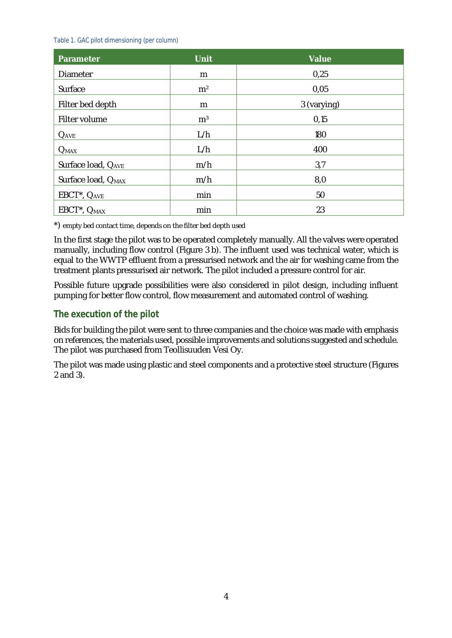#### *Table 1. GAC pilot dimensioning (per column)*

| Parameter                            | <b>Unit</b>    | Value       |
|--------------------------------------|----------------|-------------|
| Diameter                             | m              | 0,25        |
| Surface                              | m <sup>2</sup> | 0,05        |
| Filter bed depth                     | m              | 3 (varying) |
| Filter volume                        | m <sup>3</sup> | 0,15        |
| $Q_{AVE}$                            | L/h            | 180         |
| $Q_{MAX}$                            | L/h            | 400         |
| Surface load, OAVE                   | m/h            | 3,7         |
| Surface load, O <sub>MAX</sub>       | m/h            | 8,0         |
| EBCT <sup>*</sup> , Q <sub>AVE</sub> | min            | 50          |
| EBCT <sup>*</sup> , O <sub>MAX</sub> | min            | 23          |

\*) empty bed contact time, depends on the filter bed depth used

In the first stage the pilot was to be operated completely manually. All the valves were operated manually, including flow control (Figure 3 b). The influent used was technical water, which is equal to the WWTP effluent from a pressurised network and the air for washing came from the treatment plants pressurised air network. The pilot included a pressure control for air.

Possible future upgrade possibilities were also considered in pilot design, including influent pumping for better flow control, flow measurement and automated control of washing.

#### **The execution of the pilot**

Bids for building the pilot were sent to three companies and the choice was made with emphasis on references, the materials used, possible improvements and solutions suggested and schedule. The pilot was purchased from Teollisuuden Vesi Oy.

The pilot was made using plastic and steel components and a protective steel structure (Figures 2 and 3).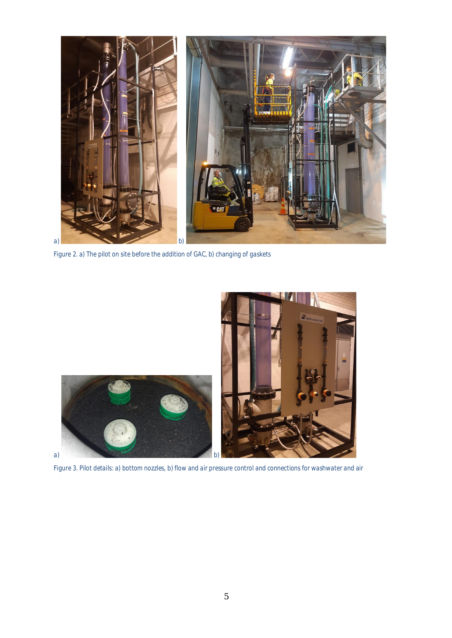

*Figure 2. a) The pilot on site before the addition of GAC, b) changing of gaskets*



*Figure 3. Pilot details: a) bottom nozzles, b) flow and air pressure control and connections for washwater and air*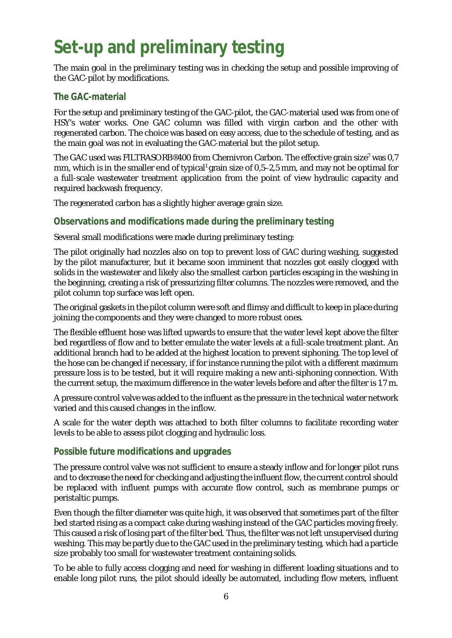# **Set-up and preliminary testing**

The main goal in the preliminary testing was in checking the setup and possible improving of the GAC-pilot by modifications.

#### **The GAC-material**

For the setup and preliminary testing of the GAC-pilot, the GAC-material used was from one of HSY's water works. One GAC column was filled with virgin carbon and the other with regenerated carbon. The choice was based on easy access, due to the schedule of testing, and as the main goal was not in evaluating the GAC-material but the pilot setup.

The GAC used was FILTRASORB® 400 from Chemivron Carbon. The effective grain size<sup>7</sup> was 0,7 mm, which is in the smaller end of typical<sup>1</sup> grain size of 0,5–2,5 mm, and may not be optimal for a full-scale wastewater treatment application from the point of view hydraulic capacity and required backwash frequency.

The regenerated carbon has a slightly higher average grain size.

#### **Observations and modifications made during the preliminary testing**

Several small modifications were made during preliminary testing:

The pilot originally had nozzles also on top to prevent loss of GAC during washing, suggested by the pilot manufacturer, but it became soon imminent that nozzles got easily clogged with solids in the wastewater and likely also the smallest carbon particles escaping in the washing in the beginning, creating a risk of pressurizing filter columns. The nozzles were removed, and the pilot column top surface was left open.

The original gaskets in the pilot column were soft and flimsy and difficult to keep in place during joining the components and they were changed to more robust ones.

The flexible effluent hose was lifted upwards to ensure that the water level kept above the filter bed regardless of flow and to better emulate the water levels at a full-scale treatment plant. An additional branch had to be added at the highest location to prevent siphoning. The top level of the hose can be changed if necessary, if for instance running the pilot with a different maximum pressure loss is to be tested, but it will require making a new anti-siphoning connection. With the current setup, the maximum difference in the water levels before and after the filter is 1.7 m.

A pressure control valve was added to the influent as the pressure in the technical water network varied and this caused changes in the inflow.

A scale for the water depth was attached to both filter columns to facilitate recording water levels to be able to assess pilot clogging and hydraulic loss.

#### **Possible future modifications and upgrades**

The pressure control valve was not sufficient to ensure a steady inflow and for longer pilot runs and to decrease the need for checking and adjusting the influent flow, the current control should be replaced with influent pumps with accurate flow control, such as membrane pumps or peristaltic pumps.

Even though the filter diameter was quite high, it was observed that sometimes part of the filter bed started rising as a compact cake during washing instead of the GAC particles moving freely. This caused a risk of losing part of the filter bed. Thus, the filter was not left unsupervised during washing. This may be partly due to the GAC used in the preliminary testing, which had a particle size probably too small for wastewater treatment containing solids.

To be able to fully access clogging and need for washing in different loading situations and to enable long pilot runs, the pilot should ideally be automated, including flow meters, influent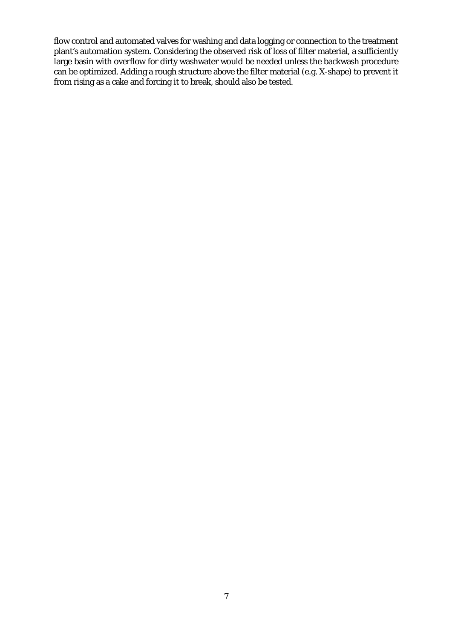flow control and automated valves for washing and data logging or connection to the treatment plant's automation system. Considering the observed risk of loss of filter material, a sufficiently large basin with overflow for dirty washwater would be needed unless the backwash procedure can be optimized. Adding a rough structure above the filter material (e.g. X-shape) to prevent it from rising as a cake and forcing it to break, should also be tested.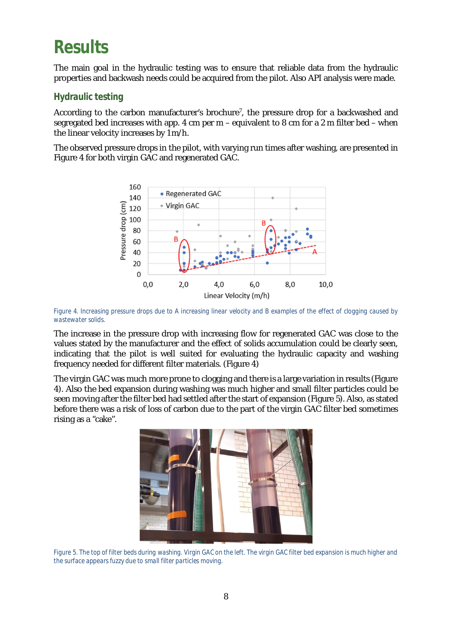## **Results**

The main goal in the hydraulic testing was to ensure that reliable data from the hydraulic properties and backwash needs could be acquired from the pilot. Also API analysis were made.

#### **Hydraulic testing**

According to the carbon manufacturer's brochure<sup>7</sup>, the pressure drop for a backwashed and segregated bed increases with app. 4 cm per m – equivalent to 8 cm for a 2 m filter bed – when the linear velocity increases by 1 m/h.

The observed pressure drops in the pilot, with varying run times after washing, are presented in Figure 4 for both virgin GAC and regenerated GAC.



*Figure 4. Increasing pressure drops due to A increasing linear velocity and B examples of the effect of clogging caused by wastewater solids.*

The increase in the pressure drop with increasing flow for regenerated GAC was close to the values stated by the manufacturer and the effect of solids accumulation could be clearly seen, indicating that the pilot is well suited for evaluating the hydraulic capacity and washing frequency needed for different filter materials. (Figure 4)

The virgin GAC was much more prone to clogging and there is a large variation in results (Figure 4). Also the bed expansion during washing was much higher and small filter particles could be seen moving after the filter bed had settled after the start of expansion (Figure 5). Also, as stated before there was a risk of loss of carbon due to the part of the virgin GAC filter bed sometimes rising as a "cake".



*Figure 5. The top of filter beds during washing. Virgin GAC on the left. The virgin GAC filter bed expansion is much higher and the surface appears fuzzy due to small filter particles moving.*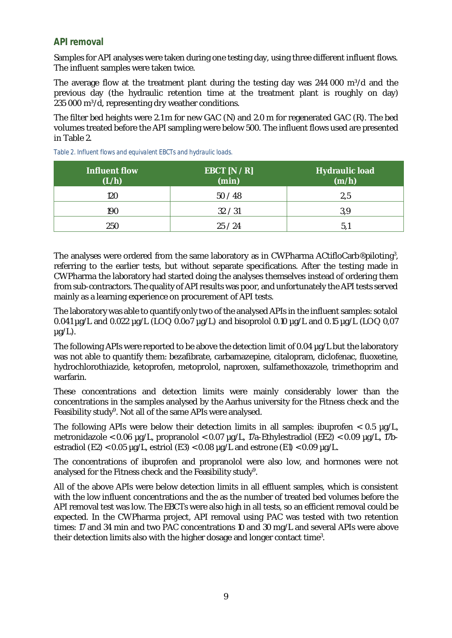#### **API removal**

Samples for API analyses were taken during one testing day, using three different influent flows. The influent samples were taken twice.

The average flow at the treatment plant during the testing day was  $244\,000\,$  m<sup>3</sup>/d and the previous day (the hydraulic retention time at the treatment plant is roughly on day) 235 000 m<sup>3</sup>/d, representing dry weather conditions.

The filter bed heights were 2.1 m for new GAC (N) and 2.0 m for regenerated GAC (R). The bed volumes treated before the API sampling were below 500. The influent flows used are presented in Table 2.

| Influent flow<br>(L/h) | EBCT $[N/R]$<br>(min) | Hydraulic load<br>(m/h) |
|------------------------|-----------------------|-------------------------|
| 120                    | 50/48                 | 2,5                     |
| 190                    | 32 / 31               | 3,9                     |
| 250                    | 25/24                 | 5.1                     |

*Table 2. Influent flows and equivalent EBCTs and hydraulic loads.*

The analyses were ordered from the same laboratory as in CWPharma ACtifloCarb® piloting<sup>3</sup>, referring to the earlier tests, but without separate specifications. After the testing made in CWPharma the laboratory had started doing the analyses themselves instead of ordering them from sub-contractors. The quality of API results was poor, and unfortunately the API tests served mainly as a learning experience on procurement of API tests.

The laboratory was able to quantify only two of the analysed APIs in the influent samples: sotalol 0.041 µg/L and 0.022 µg/L (LOQ 0.0o7 µg/L) and bisoprolol 0.10 µg/L and 0.15 µg/L (LOQ 0,07  $\mu q/L$ ).

The following APIs were reported to be above the detection limit of 0.04  $\mu q/L$  but the laboratory was not able to quantify them: bezafibrate, carbamazepine, citalopram, diclofenac, fluoxetine, hydrochlorothiazide, ketoprofen, metoprolol, naproxen, sulfamethoxazole, trimethoprim and warfarin.

These concentrations and detection limits were mainly considerably lower than the concentrations in the samples analysed by the Aarhus university for the Fitness check and the Feasibility study<sup>9</sup>. Not all of the same APIs were analysed.

The following APIs were below their detection limits in all samples: ibuprofen < 0.5 µg/L, metronidazole < 0.06 µg/L, propranolol < 0.07 µg/L, 17a-Ethylestradiol (EE2) < 0.09 µg/L, 17bestradiol (E2) < 0.05  $\mu q/L$ , estriol (E3) < 0.08  $\mu q/L$  and estrone (E1) < 0.09  $\mu q/L$ .

The concentrations of ibuprofen and propranolol were also low, and hormones were not analysed for the Fitness check and the Feasibility study<sup>9</sup>.

All of the above APIs were below detection limits in all effluent samples, which is consistent with the low influent concentrations and the as the number of treated bed volumes before the API removal test was low. The EBCTs were also high in all tests, so an efficient removal could be expected. In the CWPharma project, API removal using PAC was tested with two retention times: 17 and 34 min and two PAC concentrations 10 and 30 mg/L and several APIs were above their detection limits also with the higher dosage and longer contact time<sup>3</sup>.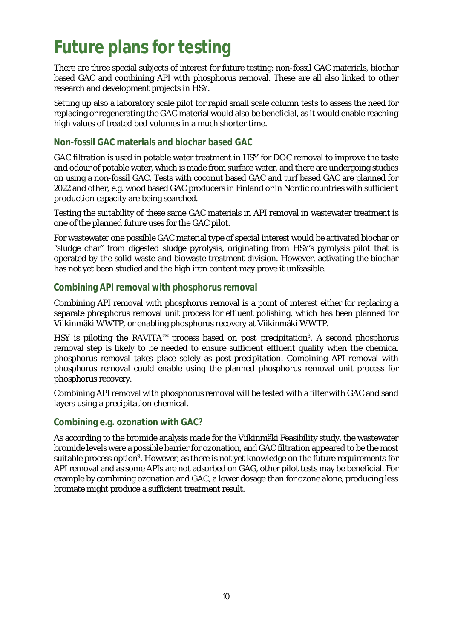# **Future plans for testing**

There are three special subjects of interest for future testing: non-fossil GAC materials, biochar based GAC and combining API with phosphorus removal. These are all also linked to other research and development projects in HSY.

Setting up also a laboratory scale pilot for rapid small scale column tests to assess the need for replacing or regenerating the GAC material would also be beneficial, as it would enable reaching high values of treated bed volumes in a much shorter time.

#### **Non-fossil GAC materials and biochar based GAC**

GAC filtration is used in potable water treatment in HSY for DOC removal to improve the taste and odour of potable water, which is made from surface water, and there are undergoing studies on using a non-fossil GAC. Tests with coconut based GAC and turf based GAC are planned for 2022 and other, e.g. wood based GAC producers in Finland or in Nordic countries with sufficient production capacity are being searched.

Testing the suitability of these same GAC materials in API removal in wastewater treatment is one of the planned future uses for the GAC pilot.

For wastewater one possible GAC material type of special interest would be activated biochar or "sludge char" from digested sludge pyrolysis, originating from HSY's pyrolysis pilot that is operated by the solid waste and biowaste treatment division. However, activating the biochar has not yet been studied and the high iron content may prove it unfeasible.

#### **Combining API removal with phosphorus removal**

Combining API removal with phosphorus removal is a point of interest either for replacing a separate phosphorus removal unit process for effluent polishing, which has been planned for Viikinmäki WWTP, or enabling phosphorus recovery at Viikinmäki WWTP.

HSY is piloting the RAVITA<sup>™</sup> process based on post precipitation<sup>8</sup>. A second phosphorus removal step is likely to be needed to ensure sufficient effluent quality when the chemical phosphorus removal takes place solely as post-precipitation. Combining API removal with phosphorus removal could enable using the planned phosphorus removal unit process for phosphorus recovery.

Combining API removal with phosphorus removal will be tested with a filter with GAC and sand layers using a precipitation chemical.

#### **Combining e.g. ozonation with GAC?**

As according to the bromide analysis made for the Viikinmäki Feasibility study, the wastewater bromide levels were a possible barrier for ozonation, and GAC filtration appeared to be the most suitable process option<sup>9</sup>. However, as there is not yet knowledge on the future requirements for API removal and as some APIs are not adsorbed on GAG, other pilot tests may be beneficial. For example by combining ozonation and GAC, a lower dosage than for ozone alone, producing less bromate might produce a sufficient treatment result.